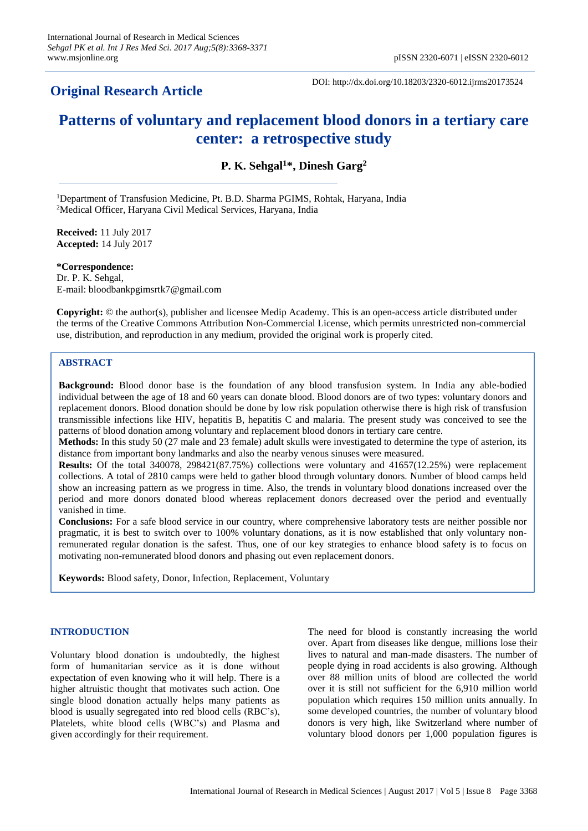# **Original Research Article**

DOI: http://dx.doi.org/10.18203/2320-6012.ijrms20173524

# **Patterns of voluntary and replacement blood donors in a tertiary care center: a retrospective study**

**P. K. Sehgal<sup>1</sup>\*, Dinesh Garg<sup>2</sup>**

<sup>1</sup>Department of Transfusion Medicine, Pt. B.D. Sharma PGIMS, Rohtak, Haryana, India <sup>2</sup>Medical Officer, Haryana Civil Medical Services, Haryana, India

**Received:** 11 July 2017 **Accepted:** 14 July 2017

**\*Correspondence:** Dr. P. K. Sehgal, E-mail: bloodbankpgimsrtk7@gmail.com

**Copyright:** © the author(s), publisher and licensee Medip Academy. This is an open-access article distributed under the terms of the Creative Commons Attribution Non-Commercial License, which permits unrestricted non-commercial use, distribution, and reproduction in any medium, provided the original work is properly cited.

# **ABSTRACT**

**Background:** Blood donor base is the foundation of any blood transfusion system. In India any able-bodied individual between the age of 18 and 60 years can donate blood. Blood donors are of two types: voluntary donors and replacement donors. Blood donation should be done by low risk population otherwise there is high risk of transfusion transmissible infections like HIV, hepatitis B, hepatitis C and malaria. The present study was conceived to see the patterns of blood donation among voluntary and replacement blood donors in tertiary care centre.

**Methods:** In this study 50 (27 male and 23 female) adult skulls were investigated to determine the type of asterion, its distance from important bony landmarks and also the nearby venous sinuses were measured.

**Results:** Of the total 340078, 298421(87.75%) collections were voluntary and 41657(12.25%) were replacement collections. A total of 2810 camps were held to gather blood through voluntary donors. Number of blood camps held show an increasing pattern as we progress in time. Also, the trends in voluntary blood donations increased over the period and more donors donated blood whereas replacement donors decreased over the period and eventually vanished in time.

**Conclusions:** For a safe blood service in our country, where comprehensive laboratory tests are neither possible nor pragmatic, it is best to switch over to 100% voluntary donations, as it is now established that only voluntary nonremunerated regular donation is the safest. Thus, one of our key strategies to enhance blood safety is to focus on motivating non-remunerated blood donors and phasing out even replacement donors.

**Keywords:** Blood safety, Donor, Infection, Replacement, Voluntary

# **INTRODUCTION**

Voluntary blood donation is undoubtedly, the highest form of humanitarian service as it is done without expectation of even knowing who it will help. There is a higher altruistic thought that motivates such action. One single blood donation actually helps many patients as blood is usually segregated into red blood cells (RBC's), Platelets, white blood cells (WBC's) and Plasma and given accordingly for their requirement.

The need for blood is constantly increasing the world over. Apart from diseases like dengue, millions lose their lives to natural and man-made disasters. The number of people dying in road accidents is also growing. Although over 88 million units of blood are collected the world over it is still not sufficient for the 6,910 million world population which requires 150 million units annually. In some developed countries, the number of voluntary blood donors is very high, like Switzerland where number of voluntary blood donors per 1,000 population figures is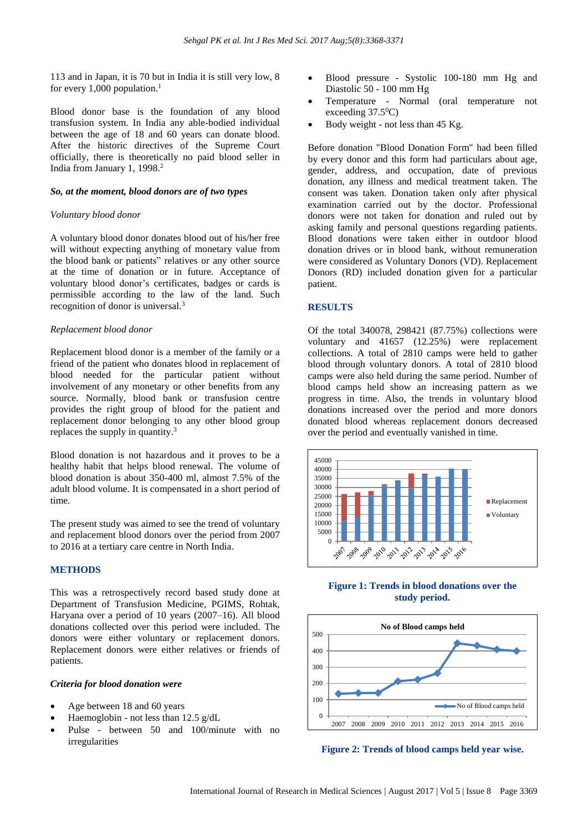113 and in Japan, it is 70 but in India it is still very low, 8 for every 1,000 population. 1

Blood donor base is the foundation of any blood transfusion system. In India any able-bodied individual between the age of 18 and 60 years can donate blood. After the historic directives of the Supreme Court officially, there is theoretically no paid blood seller in India from January 1, 1998. 2

#### *So, at the moment, blood donors are of two types*

### *Voluntary blood donor*

A voluntary blood donor donates blood out of his/her free will without expecting anything of monetary value from the blood bank or patients" relatives or any other source at the time of donation or in future. Acceptance of voluntary blood donor's certificates, badges or cards is permissible according to the law of the land. Such recognition of donor is universal. 3

#### *Replacement blood donor*

Replacement blood donor is a member of the family or a friend of the patient who donates blood in replacement of blood needed for the particular patient without involvement of any monetary or other benefits from any source. Normally, blood bank or transfusion centre provides the right group of blood for the patient and replacement donor belonging to any other blood group replaces the supply in quantity.<sup>3</sup>

Blood donation is not hazardous and it proves to be a healthy habit that helps blood renewal. The volume of blood donation is about 350-400 ml, almost 7.5% of the adult blood volume. It is compensated in a short period of time.

The present study was aimed to see the trend of voluntary and replacement blood donors over the period from 2007 to 2016 at a tertiary care centre in North India.

# **METHODS**

This was a retrospectively record based study done at Department of Transfusion Medicine, PGIMS, Rohtak, Haryana over a period of 10 years (2007–16). All blood donations collected over this period were included. The donors were either voluntary or replacement donors. Replacement donors were either relatives or friends of patients.

## *Criteria for blood donation were*

- Age between 18 and 60 years
- Haemoglobin not less than 12.5 g/dL
- Pulse between 50 and 100/minute with no irregularities
- Blood pressure Systolic 100-180 mm Hg and Diastolic 50 - 100 mm Hg
- Temperature Normal (oral temperature not exceeding  $37.5^{\circ}$ C)
- Body weight not less than 45 Kg.

Before donation "Blood Donation Form" had been filled by every donor and this form had particulars about age, gender, address, and occupation, date of previous donation, any illness and medical treatment taken. The consent was taken. Donation taken only after physical examination carried out by the doctor. Professional donors were not taken for donation and ruled out by asking family and personal questions regarding patients. Blood donations were taken either in outdoor blood donation drives or in blood bank, without remuneration were considered as Voluntary Donors (VD). Replacement Donors (RD) included donation given for a particular patient.

#### **RESULTS**

Of the total 340078, 298421 (87.75%) collections were voluntary and 41657 (12.25%) were replacement collections. A total of 2810 camps were held to gather blood through voluntary donors. A total of 2810 blood camps were also held during the same period. Number of blood camps held show an increasing pattern as we progress in time. Also, the trends in voluntary blood donations increased over the period and more donors donated blood whereas replacement donors decreased over the period and eventually vanished in time.



**Figure 1: Trends in blood donations over the study period.**



**Figure 2: Trends of blood camps held year wise.**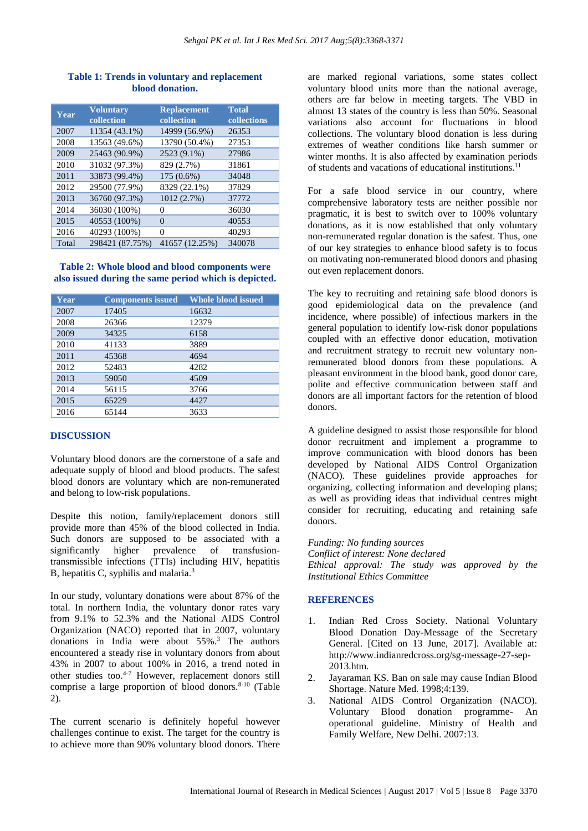| Year  | <b>Voluntary</b><br>collection | <b>Replacement</b><br>collection | <b>Total</b><br>collections |
|-------|--------------------------------|----------------------------------|-----------------------------|
| 2007  | 11354 (43.1%)                  | 14999 (56.9%)                    | 26353                       |
| 2008  | 13563 (49.6%)                  | 13790 (50.4%)                    | 27353                       |
| 2009  | 25463 (90.9%)                  | 2523 (9.1%)                      | 27986                       |
| 2010  | 31032 (97.3%)                  | 829 (2.7%)                       | 31861                       |
| 2011  | 33873 (99.4%)                  | $175(0.6\%)$                     | 34048                       |
| 2012  | 29500 (77.9%)                  | 8329 (22.1%)                     | 37829                       |
| 2013  | 36760 (97.3%)                  | 1012 (2.7%)                      | 37772                       |
| 2014  | 36030 (100%)                   | 0                                | 36030                       |
| 2015  | 40553 (100%)                   | $\Omega$                         | 40553                       |
| 2016  | 40293 (100%)                   | 0                                | 40293                       |
| Total | 298421 (87.75%)                | 41657 (12.25%)                   | 340078                      |

# **Table 1: Trends in voluntary and replacement blood donation.**

# **Table 2: Whole blood and blood components were also issued during the same period which is depicted.**

| Year | <b>Components issued</b> | <b>Whole blood issued</b> |
|------|--------------------------|---------------------------|
| 2007 | 17405                    | 16632                     |
| 2008 | 26366                    | 12379                     |
| 2009 | 34325                    | 6158                      |
| 2010 | 41133                    | 3889                      |
| 2011 | 45368                    | 4694                      |
| 2012 | 52483                    | 4282                      |
| 2013 | 59050                    | 4509                      |
| 2014 | 56115                    | 3766                      |
| 2015 | 65229                    | 4427                      |
| 2016 | 65144                    | 3633                      |

### **DISCUSSION**

Voluntary blood donors are the cornerstone of a safe and adequate supply of blood and blood products. The safest blood donors are voluntary which are non-remunerated and belong to low-risk populations.

Despite this notion, family/replacement donors still provide more than 45% of the blood collected in India. Such donors are supposed to be associated with a significantly higher prevalence of transfusiontransmissible infections (TTIs) including HIV, hepatitis B, hepatitis C, syphilis and malaria. 3

In our study, voluntary donations were about 87% of the total. In northern India, the voluntary donor rates vary from 9.1% to 52.3% and the National AIDS Control Organization (NACO) reported that in 2007, voluntary donations in India were about 55%.<sup>3</sup> The authors encountered a steady rise in voluntary donors from about 43% in 2007 to about 100% in 2016, a trend noted in other studies too. 4-7 However, replacement donors still comprise a large proportion of blood donors. $8-10$  (Table 2).

The current scenario is definitely hopeful however challenges continue to exist. The target for the country is to achieve more than 90% voluntary blood donors. There are marked regional variations, some states collect voluntary blood units more than the national average, others are far below in meeting targets. The VBD in almost 13 states of the country is less than 50%. Seasonal variations also account for fluctuations in blood collections. The voluntary blood donation is less during extremes of weather conditions like harsh summer or winter months. It is also affected by examination periods of students and vacations of educational institutions. 11

For a safe blood service in our country, where comprehensive laboratory tests are neither possible nor pragmatic, it is best to switch over to 100% voluntary donations, as it is now established that only voluntary non-remunerated regular donation is the safest. Thus, one of our key strategies to enhance blood safety is to focus on motivating non-remunerated blood donors and phasing out even replacement donors.

The key to recruiting and retaining safe blood donors is good epidemiological data on the prevalence (and incidence, where possible) of infectious markers in the general population to identify low-risk donor populations coupled with an effective donor education, motivation and recruitment strategy to recruit new voluntary nonremunerated blood donors from these populations. A pleasant environment in the blood bank, good donor care, polite and effective communication between staff and donors are all important factors for the retention of blood donors.

A guideline designed to assist those responsible for blood donor recruitment and implement a programme to improve communication with blood donors has been developed by National AIDS Control Organization (NACO). These guidelines provide approaches for organizing, collecting information and developing plans; as well as providing ideas that individual centres might consider for recruiting, educating and retaining safe donors.

*Funding: No funding sources Conflict of interest: None declared Ethical approval: The study was approved by the Institutional Ethics Committee*

#### **REFERENCES**

- 1. Indian Red Cross Society. National Voluntary Blood Donation Day-Message of the Secretary General. [Cited on 13 June, 2017]. Available at: http://www.indianredcross.org/sg-message-27-sep-2013.htm.
- 2. Jayaraman KS. Ban on sale may cause Indian Blood Shortage. Nature Med. 1998;4:139.
- 3. National AIDS Control Organization (NACO). Voluntary Blood donation programme- An operational guideline. Ministry of Health and Family Welfare, New Delhi. 2007:13.